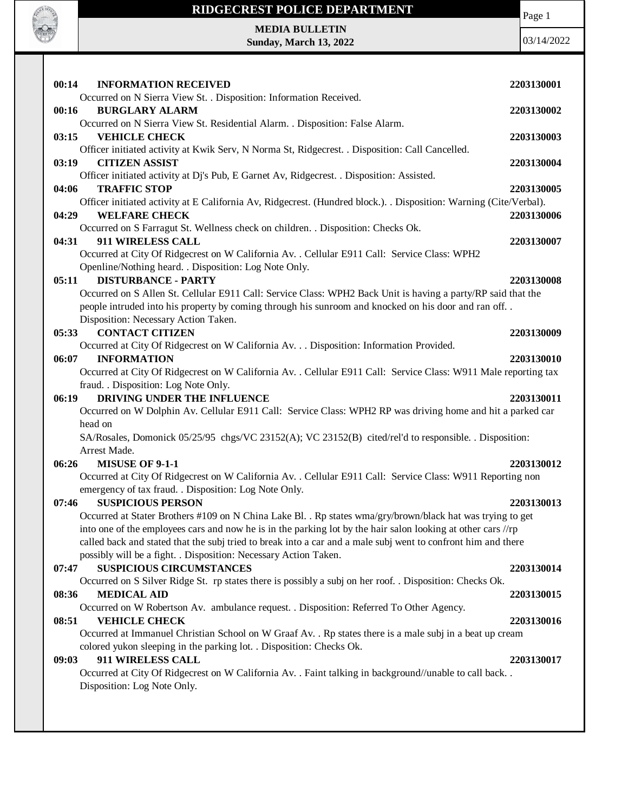

**MEDIA BULLETIN Sunday, March 13, 2022** Page 1

| 00:14<br><b>INFORMATION RECEIVED</b>                                                                             | 2203130001 |
|------------------------------------------------------------------------------------------------------------------|------------|
| Occurred on N Sierra View St. . Disposition: Information Received.                                               |            |
| <b>BURGLARY ALARM</b><br>00:16                                                                                   | 2203130002 |
| Occurred on N Sierra View St. Residential Alarm. . Disposition: False Alarm.<br><b>VEHICLE CHECK</b>             |            |
| 03:15<br>Officer initiated activity at Kwik Serv, N Norma St, Ridgecrest. . Disposition: Call Cancelled.         | 2203130003 |
| 03:19<br><b>CITIZEN ASSIST</b>                                                                                   | 2203130004 |
| Officer initiated activity at Dj's Pub, E Garnet Av, Ridgecrest. . Disposition: Assisted.                        |            |
| <b>TRAFFIC STOP</b><br>04:06                                                                                     | 2203130005 |
| Officer initiated activity at E California Av, Ridgecrest. (Hundred block.). Disposition: Warning (Cite/Verbal). |            |
| <b>WELFARE CHECK</b><br>04:29                                                                                    | 2203130006 |
| Occurred on S Farragut St. Wellness check on children. . Disposition: Checks Ok.                                 |            |
| 911 WIRELESS CALL<br>04:31                                                                                       | 2203130007 |
| Occurred at City Of Ridgecrest on W California Av. . Cellular E911 Call: Service Class: WPH2                     |            |
| Openline/Nothing heard. . Disposition: Log Note Only.                                                            |            |
| <b>DISTURBANCE - PARTY</b><br>05:11                                                                              | 2203130008 |
| Occurred on S Allen St. Cellular E911 Call: Service Class: WPH2 Back Unit is having a party/RP said that the     |            |
| people intruded into his property by coming through his sunroom and knocked on his door and ran off              |            |
| Disposition: Necessary Action Taken.                                                                             |            |
| <b>CONTACT CITIZEN</b><br>05:33                                                                                  | 2203130009 |
| Occurred at City Of Ridgecrest on W California Av. Disposition: Information Provided.                            |            |
| 06:07<br><b>INFORMATION</b>                                                                                      | 2203130010 |
| Occurred at City Of Ridgecrest on W California Av. . Cellular E911 Call: Service Class: W911 Male reporting tax  |            |
| fraud. . Disposition: Log Note Only.                                                                             |            |
| 06:19<br>DRIVING UNDER THE INFLUENCE                                                                             |            |
|                                                                                                                  | 2203130011 |
| Occurred on W Dolphin Av. Cellular E911 Call: Service Class: WPH2 RP was driving home and hit a parked car       |            |
| head on                                                                                                          |            |
| SA/Rosales, Domonick 05/25/95 chgs/VC 23152(A); VC 23152(B) cited/rel'd to responsible. Disposition:             |            |
| Arrest Made.                                                                                                     |            |
| <b>MISUSE OF 9-1-1</b><br>06:26                                                                                  | 2203130012 |
| Occurred at City Of Ridgecrest on W California Av. . Cellular E911 Call: Service Class: W911 Reporting non       |            |
| emergency of tax fraud. . Disposition: Log Note Only.                                                            |            |
| <b>SUSPICIOUS PERSON</b><br>07:46                                                                                | 2203130013 |
| Occurred at Stater Brothers #109 on N China Lake Bl. . Rp states wma/gry/brown/black hat was trying to get       |            |
| into one of the employees cars and now he is in the parking lot by the hair salon looking at other cars //rp     |            |
| called back and stated that the subj tried to break into a car and a male subj went to confront him and there    |            |
| possibly will be a fight. . Disposition: Necessary Action Taken.                                                 |            |
| <b>SUSPICIOUS CIRCUMSTANCES</b><br>07:47                                                                         | 2203130014 |
| Occurred on S Silver Ridge St. rp states there is possibly a subj on her roof. . Disposition: Checks Ok.         |            |
| <b>MEDICAL AID</b><br>08:36                                                                                      | 2203130015 |
| Occurred on W Robertson Av. ambulance request. . Disposition: Referred To Other Agency.                          |            |
| <b>VEHICLE CHECK</b><br>08:51                                                                                    | 2203130016 |
| Occurred at Immanuel Christian School on W Graaf Av. . Rp states there is a male subj in a beat up cream         |            |
| colored yukon sleeping in the parking lot. . Disposition: Checks Ok.<br>911 WIRELESS CALL<br>09:03               | 2203130017 |
| Occurred at City Of Ridgecrest on W California Av. . Faint talking in background//unable to call back            |            |
| Disposition: Log Note Only.                                                                                      |            |
|                                                                                                                  |            |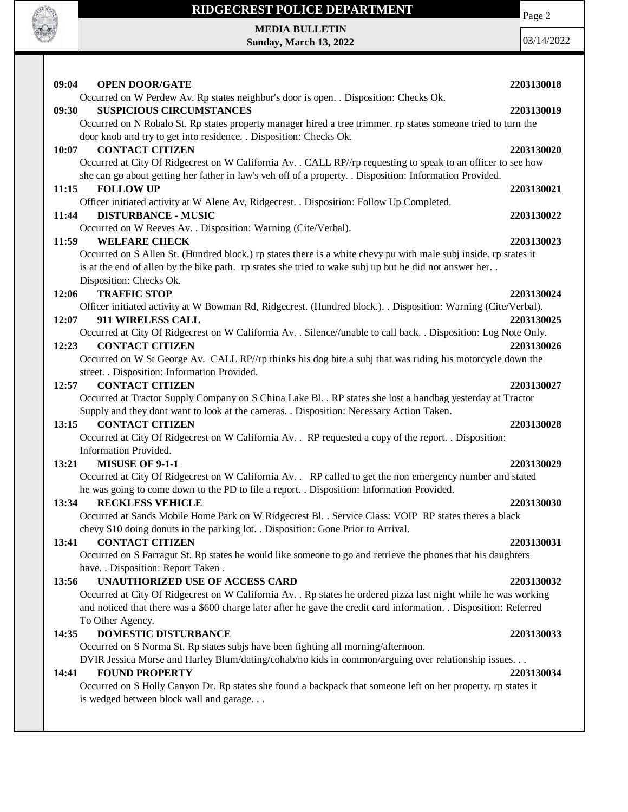

**MEDIA BULLETIN Sunday, March 13, 2022** Page 2

| <b>OPEN DOOR/GATE</b><br>09:04                                                                                                                    | 2203130018 |
|---------------------------------------------------------------------------------------------------------------------------------------------------|------------|
| Occurred on W Perdew Av. Rp states neighbor's door is open. . Disposition: Checks Ok.                                                             |            |
| <b>SUSPICIOUS CIRCUMSTANCES</b><br>09:30                                                                                                          | 2203130019 |
| Occurred on N Robalo St. Rp states property manager hired a tree trimmer. rp states someone tried to turn the                                     |            |
| door knob and try to get into residence. . Disposition: Checks Ok.                                                                                |            |
| 10:07<br><b>CONTACT CITIZEN</b>                                                                                                                   | 2203130020 |
| Occurred at City Of Ridgecrest on W California Av. . CALL RP//rp requesting to speak to an officer to see how                                     |            |
| she can go about getting her father in law's veh off of a property. . Disposition: Information Provided.                                          |            |
| <b>FOLLOW UP</b><br>11:15                                                                                                                         | 2203130021 |
| Officer initiated activity at W Alene Av, Ridgecrest. . Disposition: Follow Up Completed.                                                         |            |
| <b>DISTURBANCE - MUSIC</b><br>11:44                                                                                                               | 2203130022 |
| Occurred on W Reeves Av. . Disposition: Warning (Cite/Verbal).                                                                                    |            |
| 11:59<br><b>WELFARE CHECK</b><br>Occurred on S Allen St. (Hundred block.) rp states there is a white chevy pu with male subj inside. rp states it | 2203130023 |
| is at the end of allen by the bike path. rp states she tried to wake subj up but he did not answer her                                            |            |
| Disposition: Checks Ok.                                                                                                                           |            |
| <b>TRAFFIC STOP</b><br>12:06                                                                                                                      | 2203130024 |
| Officer initiated activity at W Bowman Rd, Ridgecrest. (Hundred block.). . Disposition: Warning (Cite/Verbal).                                    |            |
| 12:07<br>911 WIRELESS CALL                                                                                                                        | 2203130025 |
| Occurred at City Of Ridgecrest on W California Av. . Silence//unable to call back. . Disposition: Log Note Only.                                  |            |
| 12:23<br><b>CONTACT CITIZEN</b>                                                                                                                   | 2203130026 |
| Occurred on W St George Av. CALL RP//rp thinks his dog bite a subj that was riding his motorcycle down the                                        |            |
| street. . Disposition: Information Provided.                                                                                                      |            |
| <b>CONTACT CITIZEN</b><br>12:57                                                                                                                   | 2203130027 |
| Occurred at Tractor Supply Company on S China Lake Bl. . RP states she lost a handbag yesterday at Tractor                                        |            |
| Supply and they dont want to look at the cameras. . Disposition: Necessary Action Taken.                                                          |            |
| <b>CONTACT CITIZEN</b><br>13:15                                                                                                                   | 2203130028 |
| Occurred at City Of Ridgecrest on W California Av. . RP requested a copy of the report. . Disposition:                                            |            |
| Information Provided.                                                                                                                             |            |
| <b>MISUSE OF 9-1-1</b><br>13:21                                                                                                                   | 2203130029 |
| Occurred at City Of Ridgecrest on W California Av. . RP called to get the non emergency number and stated                                         |            |
| he was going to come down to the PD to file a report. . Disposition: Information Provided.<br>13:34                                               |            |
| <b>RECKLESS VEHICLE</b><br>Occurred at Sands Mobile Home Park on W Ridgecrest Bl. . Service Class: VOIP RP states theres a black                  | 2203130030 |
| chevy S10 doing donuts in the parking lot. . Disposition: Gone Prior to Arrival.                                                                  |            |
| <b>CONTACT CITIZEN</b><br>13:41                                                                                                                   | 2203130031 |
| Occurred on S Farragut St. Rp states he would like someone to go and retrieve the phones that his daughters                                       |            |
| have. . Disposition: Report Taken .                                                                                                               |            |
| UNAUTHORIZED USE OF ACCESS CARD<br>13:56                                                                                                          | 2203130032 |
| Occurred at City Of Ridgecrest on W California Av. . Rp states he ordered pizza last night while he was working                                   |            |
| and noticed that there was a \$600 charge later after he gave the credit card information. . Disposition: Referred                                |            |
| To Other Agency.                                                                                                                                  |            |
| <b>DOMESTIC DISTURBANCE</b><br>14:35                                                                                                              | 2203130033 |
| Occurred on S Norma St. Rp states subjs have been fighting all morning/afternoon.                                                                 |            |
| DVIR Jessica Morse and Harley Blum/dating/cohab/no kids in common/arguing over relationship issues.                                               |            |
| <b>FOUND PROPERTY</b><br>14:41                                                                                                                    | 2203130034 |
| Occurred on S Holly Canyon Dr. Rp states she found a backpack that someone left on her property. rp states it                                     |            |
| is wedged between block wall and garage                                                                                                           |            |
|                                                                                                                                                   |            |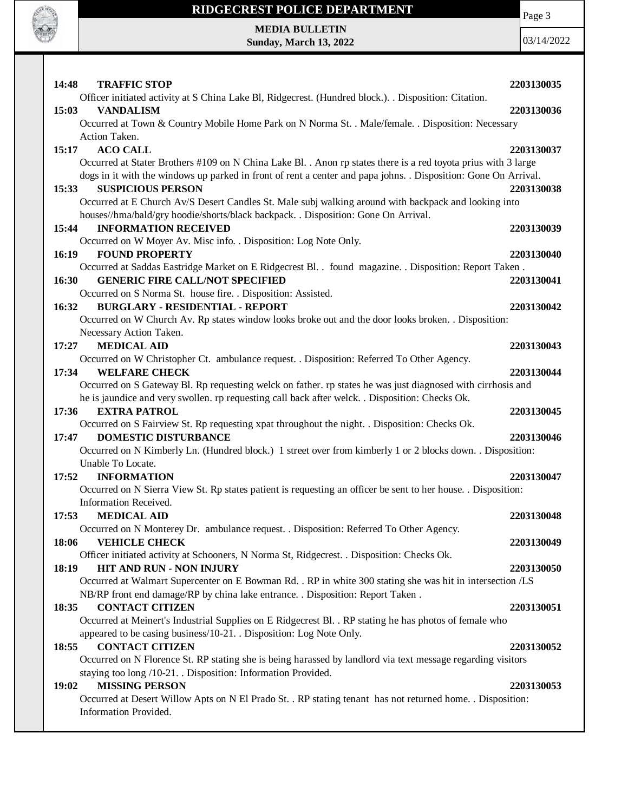

Page 3

**MEDIA BULLETIN Sunday, March 13, 2022**

| 14:48<br><b>TRAFFIC STOP</b>                                                                                                     | 2203130035 |
|----------------------------------------------------------------------------------------------------------------------------------|------------|
| Officer initiated activity at S China Lake Bl, Ridgecrest. (Hundred block.). Disposition: Citation.<br>15:03<br><b>VANDALISM</b> | 2203130036 |
| Occurred at Town & Country Mobile Home Park on N Norma St. . Male/female. . Disposition: Necessary                               |            |
| Action Taken.                                                                                                                    |            |
| 15:17<br><b>ACO CALL</b>                                                                                                         | 2203130037 |
| Occurred at Stater Brothers #109 on N China Lake Bl. . Anon rp states there is a red toyota prius with 3 large                   |            |
| dogs in it with the windows up parked in front of rent a center and papa johns. . Disposition: Gone On Arrival.                  |            |
| <b>SUSPICIOUS PERSON</b><br>15:33                                                                                                | 2203130038 |
| Occurred at E Church Av/S Desert Candles St. Male subj walking around with backpack and looking into                             |            |
| houses//hma/bald/gry hoodie/shorts/black backpack. . Disposition: Gone On Arrival.                                               |            |
| <b>INFORMATION RECEIVED</b><br>15:44                                                                                             | 2203130039 |
| Occurred on W Moyer Av. Misc info. . Disposition: Log Note Only.                                                                 |            |
| <b>FOUND PROPERTY</b><br>16:19                                                                                                   | 2203130040 |
| Occurred at Saddas Eastridge Market on E Ridgecrest Bl. . found magazine. . Disposition: Report Taken.                           |            |
| <b>GENERIC FIRE CALL/NOT SPECIFIED</b><br>16:30                                                                                  | 2203130041 |
| Occurred on S Norma St. house fire. . Disposition: Assisted.                                                                     |            |
| <b>BURGLARY - RESIDENTIAL - REPORT</b><br>16:32                                                                                  | 2203130042 |
| Occurred on W Church Av. Rp states window looks broke out and the door looks broken. . Disposition:                              |            |
| Necessary Action Taken.                                                                                                          |            |
| <b>MEDICAL AID</b><br>17:27                                                                                                      | 2203130043 |
| Occurred on W Christopher Ct. ambulance request. . Disposition: Referred To Other Agency.                                        |            |
| <b>WELFARE CHECK</b><br>17:34                                                                                                    | 2203130044 |
| Occurred on S Gateway Bl. Rp requesting welck on father. rp states he was just diagnosed with cirrhosis and                      |            |
| he is jaundice and very swollen. rp requesting call back after welck. . Disposition: Checks Ok.                                  |            |
| <b>EXTRA PATROL</b><br>17:36                                                                                                     | 2203130045 |
| Occurred on S Fairview St. Rp requesting xpat throughout the night. . Disposition: Checks Ok.                                    |            |
| <b>DOMESTIC DISTURBANCE</b><br>17:47                                                                                             | 2203130046 |
| Occurred on N Kimberly Ln. (Hundred block.) 1 street over from kimberly 1 or 2 blocks down. . Disposition:                       |            |
| Unable To Locate.                                                                                                                |            |
| 17:52<br><b>INFORMATION</b>                                                                                                      | 2203130047 |
| Occurred on N Sierra View St. Rp states patient is requesting an officer be sent to her house. . Disposition:                    |            |
| Information Received.                                                                                                            |            |
| <b>MEDICAL AID</b><br>17:53                                                                                                      | 2203130048 |
| Occurred on N Monterey Dr. ambulance request. . Disposition: Referred To Other Agency.                                           |            |
| <b>VEHICLE CHECK</b><br>18:06                                                                                                    | 2203130049 |
| Officer initiated activity at Schooners, N Norma St, Ridgecrest. . Disposition: Checks Ok.                                       |            |
| 18:19<br>HIT AND RUN - NON INJURY                                                                                                | 2203130050 |
| Occurred at Walmart Supercenter on E Bowman Rd. . RP in white 300 stating she was hit in intersection /LS                        |            |
| NB/RP front end damage/RP by china lake entrance. . Disposition: Report Taken.                                                   |            |
| <b>CONTACT CITIZEN</b><br>18:35                                                                                                  | 2203130051 |
| Occurred at Meinert's Industrial Supplies on E Ridgecrest Bl. . RP stating he has photos of female who                           |            |
| appeared to be casing business/10-21. . Disposition: Log Note Only.                                                              |            |
| <b>CONTACT CITIZEN</b><br>18:55                                                                                                  | 2203130052 |
| Occurred on N Florence St. RP stating she is being harassed by landlord via text message regarding visitors                      |            |
| staying too long /10-21. . Disposition: Information Provided.                                                                    |            |
| <b>MISSING PERSON</b><br>19:02                                                                                                   | 2203130053 |
| Occurred at Desert Willow Apts on N El Prado St. . RP stating tenant has not returned home. . Disposition:                       |            |
| Information Provided.                                                                                                            |            |
|                                                                                                                                  |            |